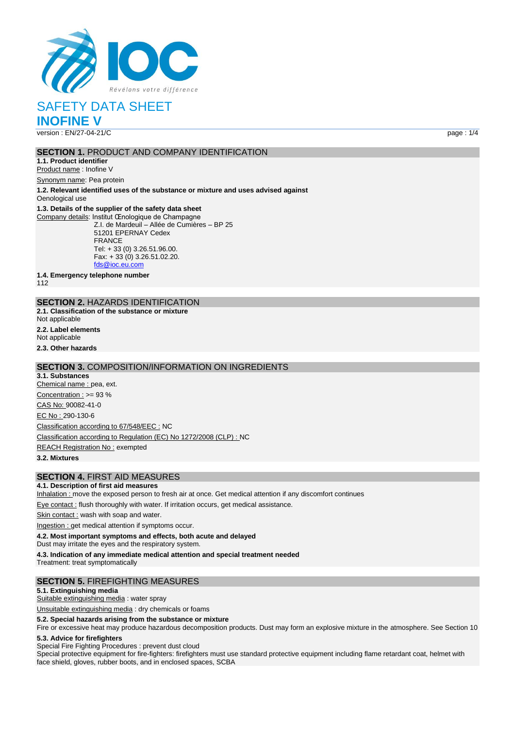

SAFETY DATA SHEET

**INOFINE V**

version : EN/27-04-21/C page : 1/4

# **SECTION 1. PRODUCT AND COMPANY IDENTIFICATION**

**1.1. Product identifier** Product name : Inofine V

Synonym name: Pea protein

**1.2. Relevant identified uses of the substance or mixture and uses advised against** Oenological use

#### **1.3. Details of the supplier of the safety data sheet**

Company details: Institut Œnologique de Champagne Z.I. de Mardeuil – Allée de Cumières – BP 25 51201 EPERNAY Cedex FRANCE Tel: + 33 (0) 3.26.51.96.00. Fax: + 33 (0) 3.26.51.02.20. [fds@ioc.eu.com](mailto:fds@ioc.eu.com)

**1.4. Emergency telephone number**

112

# **SECTION 2.** HAZARDS IDENTIFICATION

**2.1. Classification of the substance or mixture**

Not applicable

**2.2. Label elements**

Not applicable

**2.3. Other hazards**

### **SECTION 3.** COMPOSITION/INFORMATION ON INGREDIENTS

**3.1. Substances** Chemical name : pea, ext. Concentration :  $>= 93 %$ CAS No: 90082-41-0 EC No : 290-130-6 Classification according to 67/548/EEC : NC Classification according to Regulation (EC) No 1272/2008 (CLP) : NC REACH Registration No : exempted

**3.2. Mixtures**

# **SECTION 4.** FIRST AID MEASURES

#### **4.1. Description of first aid measures**

Inhalation : move the exposed person to fresh air at once. Get medical attention if any discomfort continues

Eye contact : flush thoroughly with water. If irritation occurs, get medical assistance.

Skin contact : wash with soap and water.

Ingestion : get medical attention if symptoms occur.

**4.2. Most important symptoms and effects, both acute and delayed**

Dust may irritate the eyes and the respiratory system.

**4.3. Indication of any immediate medical attention and special treatment needed**

Treatment: treat symptomatically

# **SECTION 5.** FIREFIGHTING MEASURES

#### **5.1. Extinguishing media**

Suitable extinguishing media : water spray

Unsuitable extinguishing media : dry chemicals or foams

**5.2. Special hazards arising from the substance or mixture**

Fire or excessive heat may produce hazardous decomposition products. Dust may form an explosive mixture in the atmosphere. See Section 10

#### **5.3. Advice for firefighters**

Special Fire Fighting Procedures : prevent dust cloud

Special protective equipment for fire-fighters: firefighters must use standard protective equipment including flame retardant coat, helmet with face shield, gloves, rubber boots, and in enclosed spaces, SCBA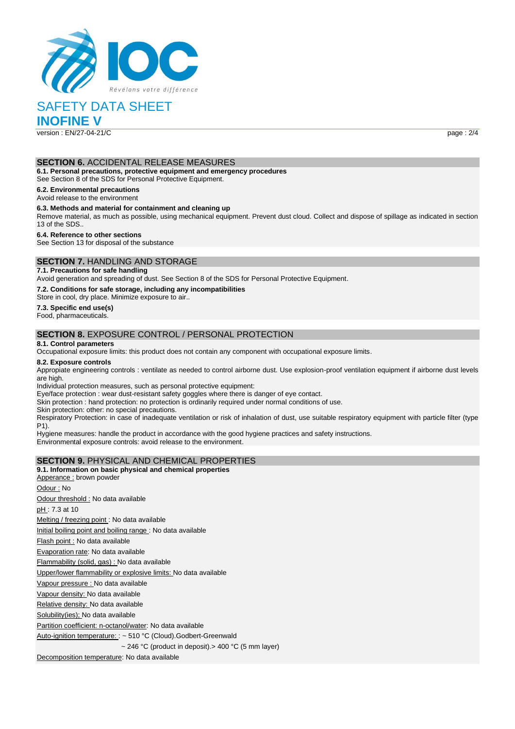

# SAFETY DATA SHEET

**INOFINE V**

version : EN/27-04-21/C page : 2/4

#### **SECTION 6.** ACCIDENTAL RELEASE MEASURES

**6.1. Personal precautions, protective equipment and emergency procedures**

See Section 8 of the SDS for Personal Protective Equipment.

**6.2. Environmental precautions**

# Avoid release to the environment

**6.3. Methods and material for containment and cleaning up**

Remove material, as much as possible, using mechanical equipment. Prevent dust cloud. Collect and dispose of spillage as indicated in section 13 of the SDS..

#### **6.4. Reference to other sections**

See Section 13 for disposal of the substance

# **SECTION 7.** HANDLING AND STORAGE

#### **7.1. Precautions for safe handling**

Avoid generation and spreading of dust. See Section 8 of the SDS for Personal Protective Equipment.

**7.2. Conditions for safe storage, including any incompatibilities**

Store in cool, dry place. Minimize exposure to air..

**7.3. Specific end use(s)** Food, pharmaceuticals.

# **SECTION 8.** EXPOSURE CONTROL / PERSONAL PROTECTION

#### **8.1. Control parameters**

Occupational exposure limits: this product does not contain any component with occupational exposure limits.

#### **8.2. Exposure controls**

Appropiate engineering controls : ventilate as needed to control airborne dust. Use explosion-proof ventilation equipment if airborne dust levels are high.

Individual protection measures, such as personal protective equipment:

Eye/face protection : wear dust-resistant safety goggles where there is danger of eye contact.

Skin protection : hand protection: no protection is ordinarily required under normal conditions of use.

Skin protection: other: no special precautions.

Respiratory Protection: in case of inadequate ventilation or risk of inhalation of dust, use suitable respiratory equipment with particle filter (type P1).

Hygiene measures: handle the product in accordance with the good hygiene practices and safety instructions. Environmental exposure controls: avoid release to the environment.

#### **SECTION 9.** PHYSICAL AND CHEMICAL PROPERTIES

# **9.1. Information on basic physical and chemical properties** Apperance : brown powder Odour : No Odour threshold : No data available pH : 7.3 at 10 Melting / freezing point : No data available Initial boiling point and boiling range : No data available Flash point : No data available Evaporation rate: No data available Flammability (solid, gas) : No data available Upper/lower flammability or explosive limits: No data available Vapour pressure : No data available Vapour density: No data available Relative density: No data available Solubility(ies); No data available Partition coefficient: n-octanol/water: No data available Auto-ignition temperature: : ~ 510 °C (Cloud).Godbert-Greenwald  $\sim$  246 °C (product in deposit). > 400 °C (5 mm layer) Decomposition temperature: No data available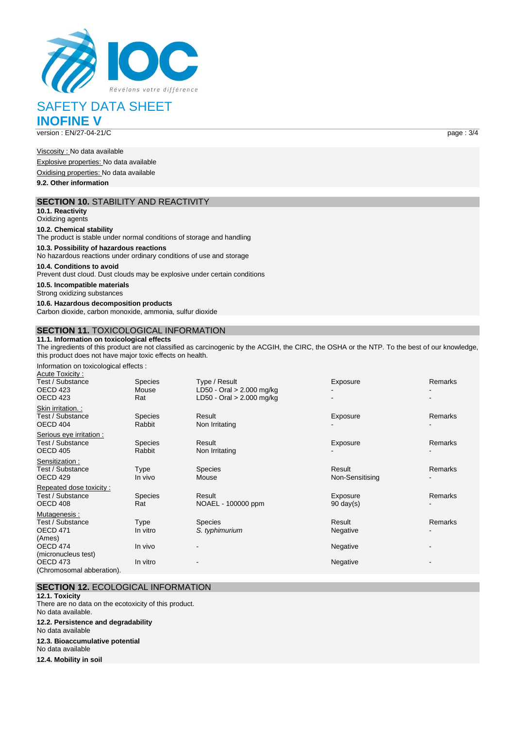

# SAFETY DATA SHEET **INOFINE V**

version : EN/27-04-21/C page : 3/4

Viscosity : No data available Explosive properties: No data available Oxidising properties: No data available **9.2. Other information**

#### **SECTION 10.** STABILITY AND REACTIVITY

**10.1. Reactivity** Oxidizing agents

#### **10.2. Chemical stability**

The product is stable under normal conditions of storage and handling

**10.3. Possibility of hazardous reactions**

No hazardous reactions under ordinary conditions of use and storage

**10.4. Conditions to avoid**

Prevent dust cloud. Dust clouds may be explosive under certain conditions

**10.5. Incompatible materials**

Strong oxidizing substances

**10.6. Hazardous decomposition products** Carbon dioxide, carbon monoxide, ammonia, sulfur dioxide

### **SECTION 11.** TOXICOLOGICAL INFORMATION

**11.1. Information on toxicological effects**

The ingredients of this product are not classified as carcinogenic by the ACGIH, the CIRC, the OSHA or the NTP. To the best of our knowledge, this product does not have major toxic effects on health.

Information on toxicological effects :

| Acute Toxicity:           |                |                             |                     |         |
|---------------------------|----------------|-----------------------------|---------------------|---------|
| Test / Substance          | <b>Species</b> | Type / Result               | Exposure            | Remarks |
| OECD 423                  | Mouse          | LD50 - Oral > 2.000 mg/kg   |                     |         |
| OECD 423                  | Rat            | LD50 - Oral $> 2.000$ mg/kg |                     |         |
| Skin irritation.:         |                |                             |                     |         |
| Test / Substance          | <b>Species</b> | Result                      | Exposure            | Remarks |
| OECD 404                  | Rabbit         | Non Irritating              |                     |         |
| Serious eye irritation :  |                |                             |                     |         |
| Test / Substance          | <b>Species</b> | Result                      | Exposure            | Remarks |
| OECD 405                  | Rabbit         | Non Irritating              |                     |         |
| Sensitization:            |                |                             |                     |         |
| Test / Substance          | <b>Type</b>    | <b>Species</b>              | Result              | Remarks |
| OECD 429                  | In vivo        | Mouse                       | Non-Sensitising     |         |
| Repeated dose toxicity:   |                |                             |                     |         |
| Test / Substance          | <b>Species</b> | Result                      | Exposure            | Remarks |
| OECD 408                  | Rat            | NOAEL - 100000 ppm          | $90 \text{ day}(s)$ |         |
| Mutagenesis:              |                |                             |                     |         |
| Test / Substance          | <b>Type</b>    | <b>Species</b>              | Result              | Remarks |
| OECD 471                  | In vitro       | S. typhimurium              | Negative            |         |
| (Ames)                    |                |                             |                     |         |
| OECD 474                  | In vivo        |                             | Negative            |         |
| (micronucleus test)       |                |                             |                     |         |
| OECD 473                  | In vitro       |                             | Negative            | ۰       |
| (Chromosomal abberation). |                |                             |                     |         |

# **SECTION 12.** ECOLOGICAL INFORMATION

**12.1. Toxicity** There are no data on the ecotoxicity of this product. No data available. **12.2. Persistence and degradability** No data available **12.3. Bioaccumulative potential** No data available **12.4. Mobility in soil**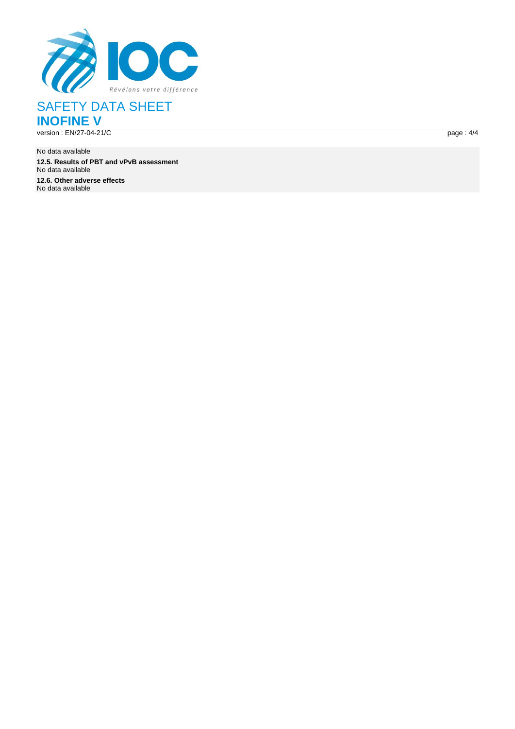

SAFETY DATA SHEET **INOFINE V**

version : EN/27-04-21/

No data available **12.5. Results of PBT and vPvB assessment** No data available **12.6. Other adverse effects** No data available

 $\bf C$  page :  $page: 4/4$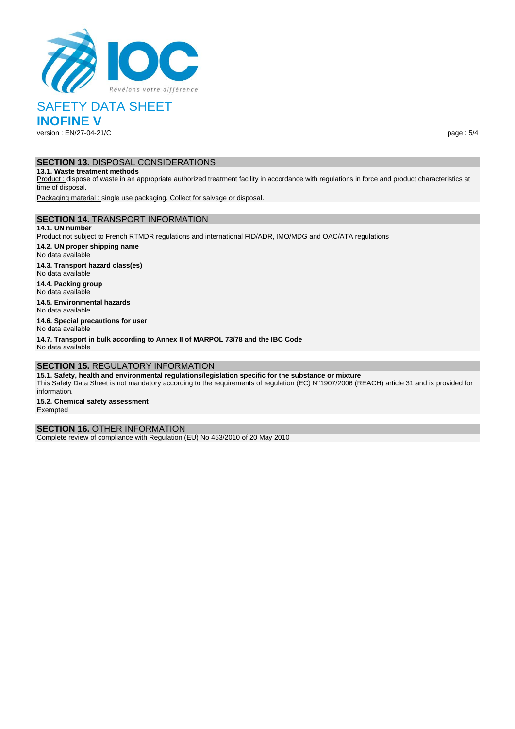

SAFETY DATA SHEET

**INOFINE V**

version : EN/27-04-21/C page : 5/4

# **SECTION 13.** DISPOSAL CONSIDERATIONS

**13.1. Waste treatment methods**

Product : dispose of waste in an appropriate authorized treatment facility in accordance with regulations in force and product characteristics at time of disposal.

Packaging material : single use packaging. Collect for salvage or disposal.

#### **SECTION 14.** TRANSPORT INFORMATION

**14.1. UN number** Product not subject to French RTMDR regulations and international FID/ADR, IMO/MDG and OAC/ATA regulations **14.2. UN proper shipping name**

No data available **14.3. Transport hazard class(es)**

No data available

**14.4. Packing group** No data available

**14.5. Environmental hazards** No data available

**14.6. Special precautions for user** No data available

**14.7. Transport in bulk according to Annex II of MARPOL 73/78 and the IBC Code** No data available

# **SECTION 15.** REGULATORY INFORMATION

**15.1. Safety, health and environmental regulations/legislation specific for the substance or mixture** This Safety Data Sheet is not mandatory according to the requirements of regulation (EC) N°1907/2006 (REACH) article 31 and is provided for information.

**15.2. Chemical safety assessment** Exempted

#### **SECTION 16.** OTHER INFORMATION

Complete review of compliance with Regulation (EU) No 453/2010 of 20 May 2010